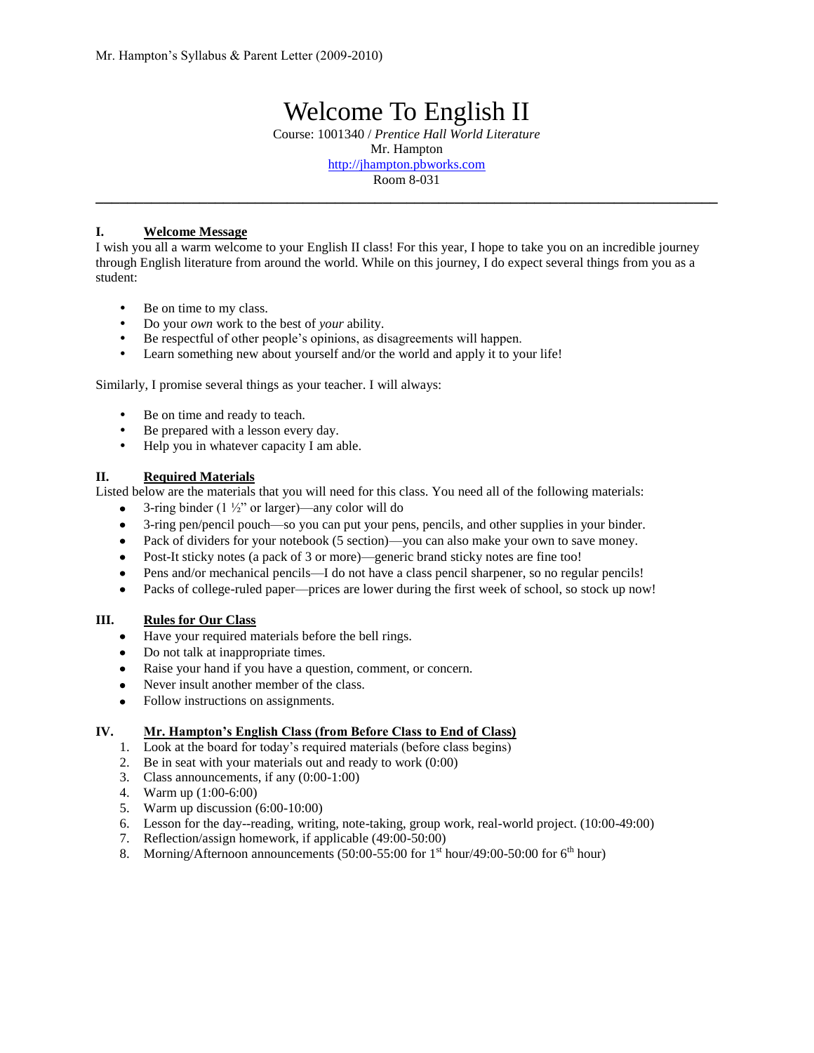# Welcome To English II Course: 1001340 / *Prentice Hall World Literature* Mr. Hampton http://jhampton.pbworks.com Room 8-031

**\_\_\_\_\_\_\_\_\_\_\_\_\_\_\_\_\_\_\_\_\_\_\_\_\_\_\_\_\_\_\_\_\_\_\_\_\_\_\_\_\_\_\_\_\_\_\_\_\_\_\_\_\_\_\_\_\_\_\_\_\_\_\_\_\_\_\_\_\_\_\_\_\_\_\_\_\_\_**

#### **I. Welcome Message**

I wish you all a warm welcome to your English II class! For this year, I hope to take you on an incredible journey through English literature from around the world. While on this journey, I do expect several things from you as a student:

- Be on time to my class.
- Do your *own* work to the best of *your* ability.
- Be respectful of other people's opinions, as disagreements will happen.
- Learn something new about yourself and/or the world and apply it to your life!

Similarly, I promise several things as your teacher. I will always:

- Be on time and ready to teach.
- Be prepared with a lesson every day.
- Help you in whatever capacity I am able.

#### **II. Required Materials**

Listed below are the materials that you will need for this class. You need all of the following materials:

- 3-ring binder (1  $\frac{1}{2}$ " or larger)—any color will do  $\bullet$
- $\bullet$ 3-ring pen/pencil pouch—so you can put your pens, pencils, and other supplies in your binder.
- Pack of dividers for your notebook (5 section)—you can also make your own to save money.
- Post-It sticky notes (a pack of 3 or more)—generic brand sticky notes are fine too!
- Pens and/or mechanical pencils—I do not have a class pencil sharpener, so no regular pencils!
- Packs of college-ruled paper—prices are lower during the first week of school, so stock up now!  $\bullet$

### **III. Rules for Our Class**

- Have your required materials before the bell rings.
- Do not talk at inappropriate times.
- Raise your hand if you have a question, comment, or concern.
- Never insult another member of the class.
- Follow instructions on assignments.

### **IV. Mr. Hampton's English Class (from Before Class to End of Class)**

- 1. Look at the board for today's required materials (before class begins)
- 2. Be in seat with your materials out and ready to work (0:00)
- 3. Class announcements, if any (0:00-1:00)
- 4. Warm up (1:00-6:00)
- 5. Warm up discussion (6:00-10:00)
- 6. Lesson for the day--reading, writing, note-taking, group work, real-world project. (10:00-49:00)
- 7. Reflection/assign homework, if applicable (49:00-50:00)
- 8. Morning/Afternoon announcements (50:00-55:00 for  $1<sup>st</sup>$  hour/49:00-50:00 for 6<sup>th</sup> hour)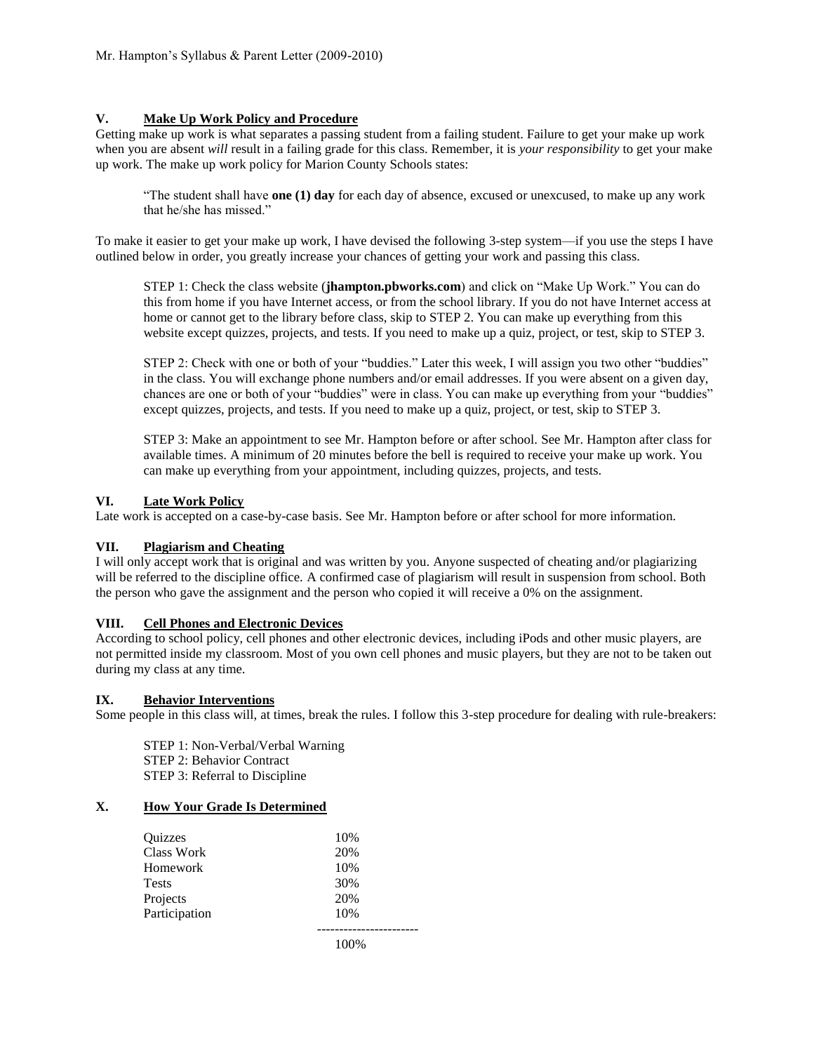### **V. Make Up Work Policy and Procedure**

Getting make up work is what separates a passing student from a failing student. Failure to get your make up work when you are absent *will* result in a failing grade for this class. Remember, it is *your responsibility* to get your make up work. The make up work policy for Marion County Schools states:

"The student shall have **one (1) day** for each day of absence, excused or unexcused, to make up any work that he/she has missed."

To make it easier to get your make up work, I have devised the following 3-step system—if you use the steps I have outlined below in order, you greatly increase your chances of getting your work and passing this class.

STEP 1: Check the class website (**jhampton.pbworks.com**) and click on "Make Up Work." You can do this from home if you have Internet access, or from the school library. If you do not have Internet access at home or cannot get to the library before class, skip to STEP 2. You can make up everything from this website except quizzes, projects, and tests. If you need to make up a quiz, project, or test, skip to STEP 3.

STEP 2: Check with one or both of your "buddies." Later this week, I will assign you two other "buddies" in the class. You will exchange phone numbers and/or email addresses. If you were absent on a given day, chances are one or both of your "buddies" were in class. You can make up everything from your "buddies" except quizzes, projects, and tests. If you need to make up a quiz, project, or test, skip to STEP 3.

STEP 3: Make an appointment to see Mr. Hampton before or after school. See Mr. Hampton after class for available times. A minimum of 20 minutes before the bell is required to receive your make up work. You can make up everything from your appointment, including quizzes, projects, and tests.

### **VI. Late Work Policy**

Late work is accepted on a case-by-case basis. See Mr. Hampton before or after school for more information.

### **VII. Plagiarism and Cheating**

I will only accept work that is original and was written by you. Anyone suspected of cheating and/or plagiarizing will be referred to the discipline office. A confirmed case of plagiarism will result in suspension from school. Both the person who gave the assignment and the person who copied it will receive a 0% on the assignment.

### **VIII. Cell Phones and Electronic Devices**

According to school policy, cell phones and other electronic devices, including iPods and other music players, are not permitted inside my classroom. Most of you own cell phones and music players, but they are not to be taken out during my class at any time.

### **IX. Behavior Interventions**

Some people in this class will, at times, break the rules. I follow this 3-step procedure for dealing with rule-breakers:

STEP 1: Non-Verbal/Verbal Warning STEP 2: Behavior Contract STEP 3: Referral to Discipline

# **X. How Your Grade Is Determined**

| Quizzes           | 10% |
|-------------------|-----|
| <b>Class Work</b> | 20% |
| Homework          | 10% |
| <b>Tests</b>      | 30% |
| Projects          | 20% |
| Participation     | 10% |
|                   |     |
|                   |     |

100%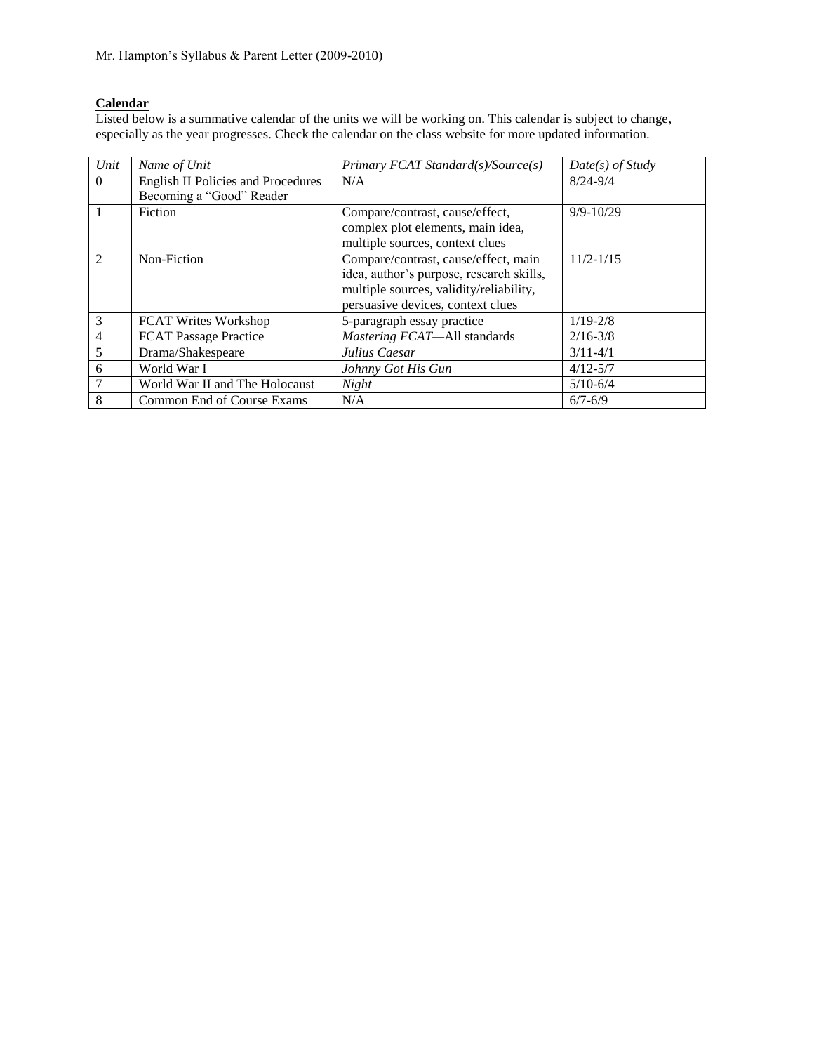# **Calendar**

Listed below is a summative calendar of the units we will be working on. This calendar is subject to change, especially as the year progresses. Check the calendar on the class website for more updated information.

| Unit                        | Name of Unit                       | Primary FCAT Standard(s)/Source(s)       | $Date(s)$ of Study |
|-----------------------------|------------------------------------|------------------------------------------|--------------------|
| $\Omega$                    | English II Policies and Procedures | N/A                                      | $8/24 - 9/4$       |
|                             | Becoming a "Good" Reader           |                                          |                    |
|                             | Fiction                            | Compare/contrast, cause/effect,          | $9/9 - 10/29$      |
|                             |                                    | complex plot elements, main idea,        |                    |
|                             |                                    | multiple sources, context clues          |                    |
| $\mathcal{D}_{\mathcal{L}}$ | Non-Fiction                        | Compare/contrast, cause/effect, main     | $11/2 - 1/15$      |
|                             |                                    | idea, author's purpose, research skills, |                    |
|                             |                                    | multiple sources, validity/reliability,  |                    |
|                             |                                    | persuasive devices, context clues        |                    |
| 3                           | <b>FCAT Writes Workshop</b>        | 5-paragraph essay practice               | $1/19 - 2/8$       |
| 4                           | <b>FCAT Passage Practice</b>       | Mastering FCAT-All standards             | $2/16 - 3/8$       |
| 5                           | Drama/Shakespeare                  | Julius Caesar                            | $3/11 - 4/1$       |
| 6                           | World War I                        | Johnny Got His Gun                       | $4/12 - 5/7$       |
|                             | World War II and The Holocaust     | Night                                    | $5/10 - 6/4$       |
| 8                           | Common End of Course Exams         | N/A                                      | $6/7 - 6/9$        |